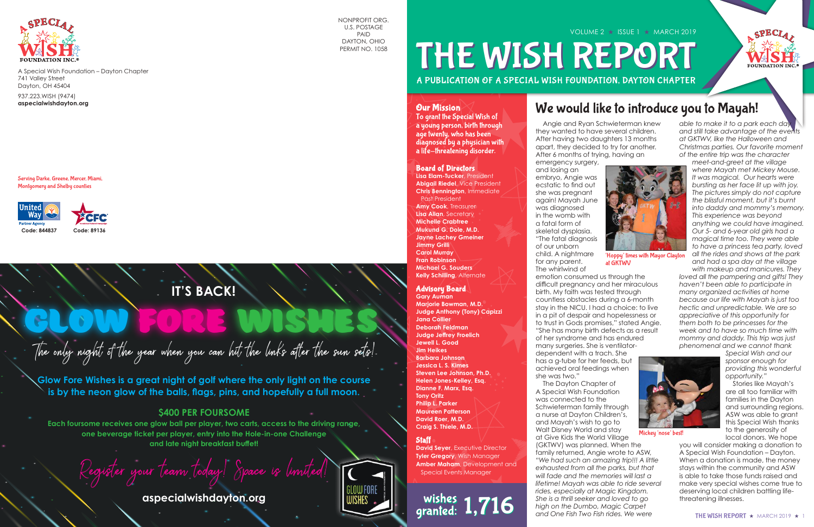

A Special Wish Foundation – Dayton Chapter 741 Valley Street Dayton, OH 45404

937.223.WISH (9474) **aspecialwishdayton.org**

# A PUBLICATION OF A SPECIAL WISH FOUNDATION, DAYTON CHAPTER VOLUME 2 ★ ISSUE 1 ★ MARCH 2019 THE WISH REPORT

Serving Darke, Greene, Mercer, Miami, Montgomery and Shelby counties



NONPROFIT ORG. U.S. POSTAGE PAID DAYTON, OHIO PERMIT NO. 1058

# **IT'S BACK!**

 Angie and Ryan Schwieterman knew they wanted to have several children. After having two daughters 13 months apart, they decided to try for another. After 6 months of trying, having an emergency surgery, and losing an embryo, Angie was ecstatic to find out she was pregnant again! Mayah June was diagnosed in the womb with a fatal form of skeletal dysplasia. "The fatal diagnosis of our unborn child. A nightmare for any parent. The whirlwind of emotion consumed us through the difficult pregnancy and her miraculous birth. My faith was tested through countless obstacles during a 6-month stay in the NICU. I had a choice: to live in a pit of despair and hopelessness or to trust in Gods promises," stated Angie. "She has many birth defects as a result of her syndrome and has endured many surgeries. She is ventilatordependent with a trach. She has a g-tube for her feeds, but achieved oral feedings when she was two." at GKTWV

*able to make it to a park each day and still take advantage of the events at GKTWV, like the Halloween and Christmas parties. Our favorite moment of the entire trip was the character* 

**glow fore wishes** The only night of the year when you can hit the links after the sun sets!

*meet-and-greet at the village where Mayah met Mickey Mouse. It was magical. Our hearts were bursting as her face lit up with joy. The pictures simply do not capture the blissful moment, but it's burnt into daddy and mommy's memory. This experience was beyond anything we could have imagined. Our 5- and 6-year old girls had a magical time too. They were able to have a princess tea party, loved all the rides and shows at the park and had a spa day at the village* 

**David Seyer, Executive Director Tyler Gregory**, Wish Manager **Amber Maham**, Development and Special Events Manager

# wishes 1,716

 The Dayton Chapter of A Special Wish Foundation was connected to the Schwieterman family through a nurse at Dayton Children's, and Mayah's wish to go to Walt Disney World and stay at Give Kids the World Village (GKTWV) was planned. When the family returned, Angie wrote to ASW, *"We had such an amazing trip!!! A little exhausted from all the parks, but that will fade and the memories will last a lifetime! Mayah was able to ride several rides, especially at Magic Kingdom. She is a thrill seeker and loved to go high on the Dumbo, Magic Carpet and One Fish Two Fish rides. We were sponsor enough for providing this wonderful opportunity."* Stories like Mayah's are all too familiar with families in the Dayton and surrounding regions. ASW was able to grant this Special Wish thanks to the generosity of local donors. We hope you will consider making a donation to A Special Wish Foundation – Dayton. When a donation is made, the money stays within the community and ASW is able to take those funds raised and make very special wishes come true to deserving local children battling lifethreatening illnesses. Mickey 'nose' best!



*with makeup and manicures. They loved all the pampering and gifts! They haven't been able to participate in many organized activities at home because our life with Mayah is just too hectic and unpredictable. We are so appreciative of this opportunity for them both to be princesses for the week and to have so much time with mommy and daddy. This trip was just phenomenal and we cannot thank* 

*Special Wish and our* 



'Hoppy' times with Mayor Clayton

# We would like to introduce you to Mayah!

**Glow Fore Wishes is a great night of golf where the only light on the course is by the neon glow of the balls, flags, pins, and hopefully a full moon.**

### **\$400 PER FOURSOME**

**Each foursome receives one glow ball per player, two carts, access to the driving range, one beverage ticket per player, entry into the Hole-in-one Challenge and late night breakfast buffet!**

Register your team today!

**aspecialwishdayton.org**

### Board of Directors

**Lisa Elam-Tucker**, President **Abigail Riedel**, Vice President **Chris Bennington**, Immediate Past President **Amy Cook**, Treasurer

**Lisa Allan**, Secretary **Michelle Crabtree Mukund G. Dole, M.D. Jayne Lachey Gmeiner Jimmy Grilli Carol Murray Fran Robinson Michael G. Souders Kelly Schilling**, Alternate

### Advisory Board

**Gary Auman Marjorie Bowman, M.D. Judge Anthony (Tony) Capizzi Jana Collier Deborah Feldman Judge Jeffrey Froelich Jewell L. Good Jim Heikes Barbara Johnson Jessica L. S. Kimes Steven Lee Johnson, Ph.D. Helen Jones-Kelley, Esq. Dianne F. Marx, Esq. Tony Oritz Philip L. Parker Maureen Patterson David Roer, M.D. Craig S. Thiele, M.D.**

### **Staff**

### Our Mission

To grant the Special Wish of a young person, birth through age twenty, who has been diagnosed by a physician with a life-threatening disorder.